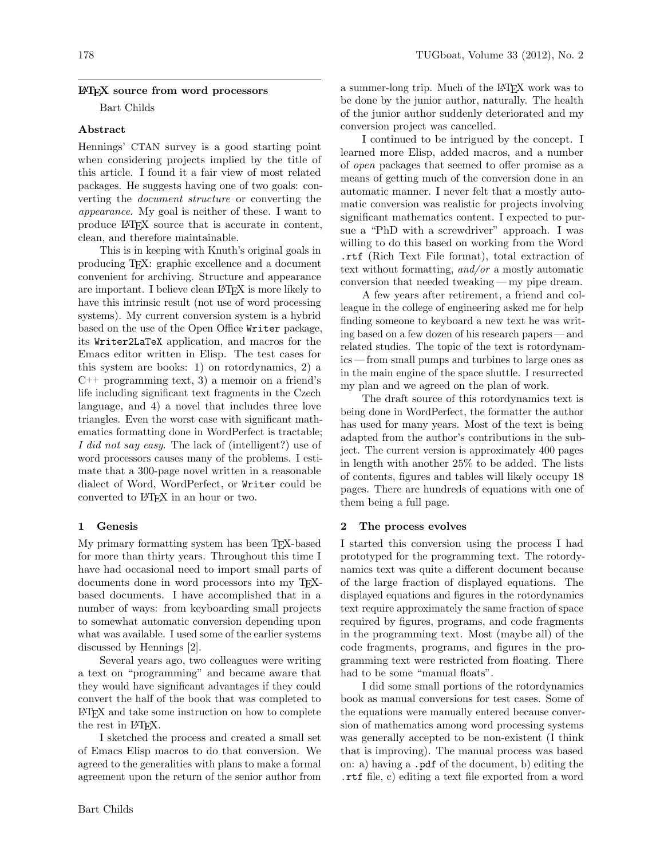### LATEX source from word processors

Bart Childs

### Abstract

Hennings' CTAN survey is a good starting point when considering projects implied by the title of this article. I found it a fair view of most related packages. He suggests having one of two goals: converting the document structure or converting the appearance. My goal is neither of these. I want to produce LATEX source that is accurate in content, clean, and therefore maintainable.

This is in keeping with Knuth's original goals in producing TEX: graphic excellence and a document convenient for archiving. Structure and appearance are important. I believe clean LATEX is more likely to have this intrinsic result (not use of word processing systems). My current conversion system is a hybrid based on the use of the Open Office Writer package, its Writer2LaTeX application, and macros for the Emacs editor written in Elisp. The test cases for this system are books: 1) on rotordynamics, 2) a  $C_{++}$  programming text, 3) a memoir on a friend's life including significant text fragments in the Czech language, and 4) a novel that includes three love triangles. Even the worst case with significant mathematics formatting done in WordPerfect is tractable; I did not say easy. The lack of (intelligent?) use of word processors causes many of the problems. I estimate that a 300-page novel written in a reasonable dialect of Word, WordPerfect, or Writer could be converted to LAT<sub>EX</sub> in an hour or two.

### 1 Genesis

My primary formatting system has been TEX-based for more than thirty years. Throughout this time I have had occasional need to import small parts of documents done in word processors into my TEXbased documents. I have accomplished that in a number of ways: from keyboarding small projects to somewhat automatic conversion depending upon what was available. I used some of the earlier systems discussed by Hennings [\[2\]](#page-5-0).

Several years ago, two colleagues were writing a text on "programming" and became aware that they would have significant advantages if they could convert the half of the book that was completed to LATEX and take some instruction on how to complete the rest in IAT<sub>F</sub>X.

I sketched the process and created a small set of Emacs Elisp macros to do that conversion. We agreed to the generalities with plans to make a formal agreement upon the return of the senior author from

a summer-long trip. Much of the L<sup>AT</sup>EX work was to be done by the junior author, naturally. The health of the junior author suddenly deteriorated and my conversion project was cancelled.

I continued to be intrigued by the concept. I learned more Elisp, added macros, and a number of open packages that seemed to offer promise as a means of getting much of the conversion done in an automatic manner. I never felt that a mostly automatic conversion was realistic for projects involving significant mathematics content. I expected to pursue a "PhD with a screwdriver" approach. I was willing to do this based on working from the Word .rtf (Rich Text File format), total extraction of text without formatting, and/or a mostly automatic conversion that needed tweaking — my pipe dream.

A few years after retirement, a friend and colleague in the college of engineering asked me for help finding someone to keyboard a new text he was writing based on a few dozen of his research papers — and related studies. The topic of the text is rotordynamics — from small pumps and turbines to large ones as in the main engine of the space shuttle. I resurrected my plan and we agreed on the plan of work.

The draft source of this rotordynamics text is being done in WordPerfect, the formatter the author has used for many years. Most of the text is being adapted from the author's contributions in the subject. The current version is approximately 400 pages in length with another 25% to be added. The lists of contents, figures and tables will likely occupy 18 pages. There are hundreds of equations with one of them being a full page.

### 2 The process evolves

I started this conversion using the process I had prototyped for the programming text. The rotordynamics text was quite a different document because of the large fraction of displayed equations. The displayed equations and figures in the rotordynamics text require approximately the same fraction of space required by figures, programs, and code fragments in the programming text. Most (maybe all) of the code fragments, programs, and figures in the programming text were restricted from floating. There had to be some "manual floats".

I did some small portions of the rotordynamics book as manual conversions for test cases. Some of the equations were manually entered because conversion of mathematics among word processing systems was generally accepted to be non-existent (I think that is improving). The manual process was based on: a) having a .pdf of the document, b) editing the .rtf file, c) editing a text file exported from a word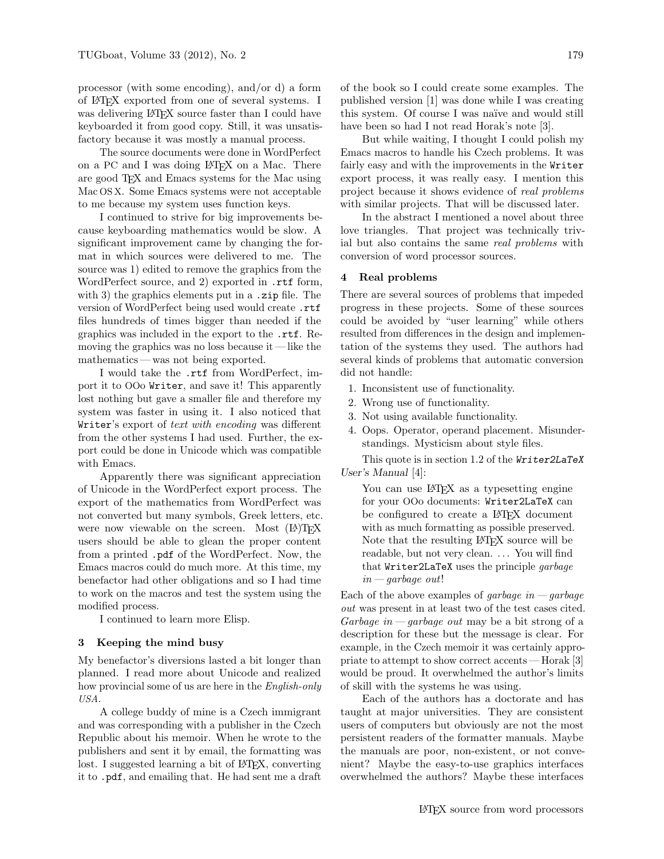processor (with some encoding), and/or d) a form of LATEX exported from one of several systems. I was delivering LAT<sub>EX</sub> source faster than I could have keyboarded it from good copy. Still, it was unsatisfactory because it was mostly a manual process.

The source documents were done in WordPerfect on a PC and I was doing LATEX on a Mac. There are good TEX and Emacs systems for the Mac using Mac OS X. Some Emacs systems were not acceptable to me because my system uses function keys.

I continued to strive for big improvements because keyboarding mathematics would be slow. A significant improvement came by changing the format in which sources were delivered to me. The source was 1) edited to remove the graphics from the WordPerfect source, and 2) exported in .rtf form, with 3) the graphics elements put in a **zip** file. The version of WordPerfect being used would create .rtf files hundreds of times bigger than needed if the graphics was included in the export to the .rtf. Removing the graphics was no loss because it — like the mathematics — was not being exported.

I would take the .rtf from WordPerfect, import it to OOo Writer, and save it! This apparently lost nothing but gave a smaller file and therefore my system was faster in using it. I also noticed that Writer's export of text with encoding was different from the other systems I had used. Further, the export could be done in Unicode which was compatible with Emacs.

Apparently there was significant appreciation of Unicode in the WordPerfect export process. The export of the mathematics from WordPerfect was not converted but many symbols, Greek letters, etc. were now viewable on the screen. Most  $(E)$ T<sub>F</sub>X users should be able to glean the proper content from a printed .pdf of the WordPerfect. Now, the Emacs macros could do much more. At this time, my benefactor had other obligations and so I had time to work on the macros and test the system using the modified process.

I continued to learn more Elisp.

#### 3 Keeping the mind busy

My benefactor's diversions lasted a bit longer than planned. I read more about Unicode and realized how provincial some of us are here in the *English-only* USA.

A college buddy of mine is a Czech immigrant and was corresponding with a publisher in the Czech Republic about his memoir. When he wrote to the publishers and sent it by email, the formatting was lost. I suggested learning a bit of LAT<sub>EX</sub>, converting it to .pdf, and emailing that. He had sent me a draft of the book so I could create some examples. The published version [\[1\]](#page-5-1) was done while I was creating this system. Of course I was na¨ıve and would still have been so had I not read Horak's note [\[3\]](#page-5-2).

But while waiting, I thought I could polish my Emacs macros to handle his Czech problems. It was fairly easy and with the improvements in the Writer export process, it was really easy. I mention this project because it shows evidence of real problems with similar projects. That will be discussed later.

In the abstract I mentioned a novel about three love triangles. That project was technically trivial but also contains the same *real problems* with conversion of word processor sources.

#### 4 Real problems

There are several sources of problems that impeded progress in these projects. Some of these sources could be avoided by "user learning" while others resulted from differences in the design and implementation of the systems they used. The authors had several kinds of problems that automatic conversion did not handle:

- 1. Inconsistent use of functionality.
- 2. Wrong use of functionality.
- 3. Not using available functionality.
- 4. Oops. Operator, operand placement. Misunderstandings. Mysticism about style files.

This quote is in section 1.2 of the Writer2LaTeX User's Manual [\[4\]](#page-5-3):

You can use LAT<sub>EX</sub> as a typesetting engine for your OOo documents: Writer2LaTeX can be configured to create a L<sup>AT</sup>FX document with as much formatting as possible preserved. Note that the resulting LAT<sub>EX</sub> source will be readable, but not very clean. ... You will find that Writer2LaTeX uses the principle garbage  $in—garbage\ out!$ 

Each of the above examples of *garbage* in  $-\,garbage$ out was present in at least two of the test cases cited. Garbage in  $-garbage$  out may be a bit strong of a description for these but the message is clear. For example, in the Czech memoir it was certainly appropriate to attempt to show correct accents — Horak [\[3\]](#page-5-2) would be proud. It overwhelmed the author's limits of skill with the systems he was using.

Each of the authors has a doctorate and has taught at major universities. They are consistent users of computers but obviously are not the most persistent readers of the formatter manuals. Maybe the manuals are poor, non-existent, or not convenient? Maybe the easy-to-use graphics interfaces overwhelmed the authors? Maybe these interfaces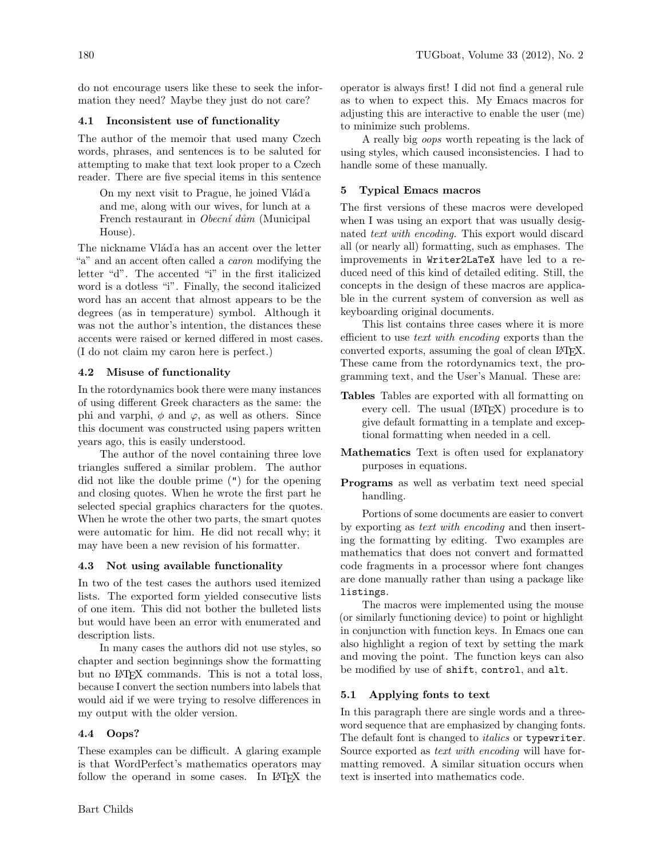do not encourage users like these to seek the information they need? Maybe they just do not care?

# 4.1 Inconsistent use of functionality

The author of the memoir that used many Czech words, phrases, and sentences is to be saluted for attempting to make that text look proper to a Czech reader. There are five special items in this sentence

On my next visit to Prague, he joined Vlád'a and me, along with our wives, for lunch at a French restaurant in Obecní dům (Municipal House).

The nickname Vlád'a has an accent over the letter "a" and an accent often called a *caron* modifying the letter "d". The accented "i" in the first italicized word is a dotless "i". Finally, the second italicized word has an accent that almost appears to be the degrees (as in temperature) symbol. Although it was not the author's intention, the distances these accents were raised or kerned differed in most cases. (I do not claim my caron here is perfect.)

# 4.2 Misuse of functionality

In the rotordynamics book there were many instances of using different Greek characters as the same: the phi and varphi,  $\phi$  and  $\varphi$ , as well as others. Since this document was constructed using papers written years ago, this is easily understood.

The author of the novel containing three love triangles suffered a similar problem. The author did not like the double prime (") for the opening and closing quotes. When he wrote the first part he selected special graphics characters for the quotes. When he wrote the other two parts, the smart quotes were automatic for him. He did not recall why; it may have been a new revision of his formatter.

# 4.3 Not using available functionality

In two of the test cases the authors used itemized lists. The exported form yielded consecutive lists of one item. This did not bother the bulleted lists but would have been an error with enumerated and description lists.

In many cases the authors did not use styles, so chapter and section beginnings show the formatting but no LATEX commands. This is not a total loss, because I convert the section numbers into labels that would aid if we were trying to resolve differences in my output with the older version.

# 4.4 Oops?

These examples can be difficult. A glaring example is that WordPerfect's mathematics operators may follow the operand in some cases. In LAT<sub>F</sub>X the operator is always first! I did not find a general rule as to when to expect this. My Emacs macros for adjusting this are interactive to enable the user (me) to minimize such problems.

A really big oops worth repeating is the lack of using styles, which caused inconsistencies. I had to handle some of these manually.

# 5 Typical Emacs macros

The first versions of these macros were developed when I was using an export that was usually designated text with encoding. This export would discard all (or nearly all) formatting, such as emphases. The improvements in Writer2LaTeX have led to a reduced need of this kind of detailed editing. Still, the concepts in the design of these macros are applicable in the current system of conversion as well as keyboarding original documents.

This list contains three cases where it is more efficient to use *text* with encoding exports than the converted exports, assuming the goal of clean LAT<sub>EX</sub>. These came from the rotordynamics text, the programming text, and the User's Manual. These are:

- Tables Tables are exported with all formatting on every cell. The usual (LAT<sub>EX</sub>) procedure is to give default formatting in a template and exceptional formatting when needed in a cell.
- Mathematics Text is often used for explanatory purposes in equations.
- Programs as well as verbatim text need special handling.

Portions of some documents are easier to convert by exporting as text with encoding and then inserting the formatting by editing. Two examples are mathematics that does not convert and formatted code fragments in a processor where font changes are done manually rather than using a package like listings.

The macros were implemented using the mouse (or similarly functioning device) to point or highlight in conjunction with function keys. In Emacs one can also highlight a region of text by setting the mark and moving the point. The function keys can also be modified by use of shift, control, and alt.

# 5.1 Applying fonts to text

In this paragraph there are single words and a threeword sequence that are emphasized by changing fonts. The default font is changed to *italics* or typewriter. Source exported as *text with encoding* will have formatting removed. A similar situation occurs when text is inserted into mathematics code.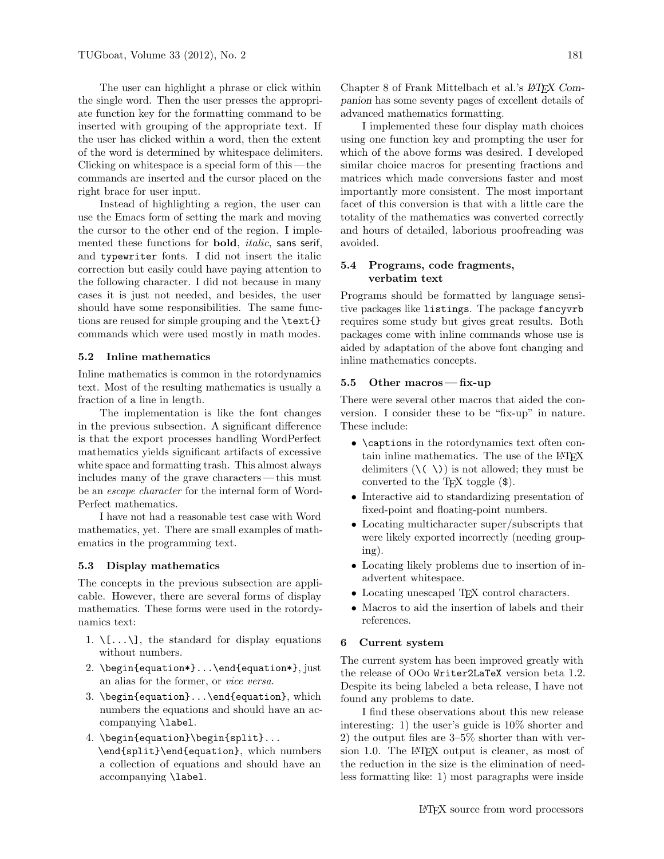The user can highlight a phrase or click within the single word. Then the user presses the appropriate function key for the formatting command to be inserted with grouping of the appropriate text. If the user has clicked within a word, then the extent of the word is determined by whitespace delimiters. Clicking on whitespace is a special form of this — the commands are inserted and the cursor placed on the right brace for user input.

Instead of highlighting a region, the user can use the Emacs form of setting the mark and moving the cursor to the other end of the region. I implemented these functions for bold, italic, sans serif, and typewriter fonts. I did not insert the italic correction but easily could have paying attention to the following character. I did not because in many cases it is just not needed, and besides, the user should have some responsibilities. The same functions are reused for simple grouping and the **\text{}** commands which were used mostly in math modes.

### 5.2 Inline mathematics

Inline mathematics is common in the rotordynamics text. Most of the resulting mathematics is usually a fraction of a line in length.

The implementation is like the font changes in the previous subsection. A significant difference is that the export processes handling WordPerfect mathematics yields significant artifacts of excessive white space and formatting trash. This almost always includes many of the grave characters— this must be an escape character for the internal form of Word-Perfect mathematics.

I have not had a reasonable test case with Word mathematics, yet. There are small examples of mathematics in the programming text.

### 5.3 Display mathematics

The concepts in the previous subsection are applicable. However, there are several forms of display mathematics. These forms were used in the rotordynamics text:

- 1.  $\langle \ldots \rangle$ , the standard for display equations without numbers.
- 2. \begin{equation\*}...\end{equation\*}, just an alias for the former, or vice versa.
- 3. \begin{equation}...\end{equation}, which numbers the equations and should have an accompanying \label.
- 4. \begin{equation}\begin{split}... \end{split}\end{equation}, which numbers a collection of equations and should have an accompanying \label.

Chapter 8 of Frank Mittelbach et al.'s  $BTEX$  Companion has some seventy pages of excellent details of advanced mathematics formatting.

I implemented these four display math choices using one function key and prompting the user for which of the above forms was desired. I developed similar choice macros for presenting fractions and matrices which made conversions faster and most importantly more consistent. The most important facet of this conversion is that with a little care the totality of the mathematics was converted correctly and hours of detailed, laborious proofreading was avoided.

### 5.4 Programs, code fragments, verbatim text

Programs should be formatted by language sensitive packages like listings. The package fancyvrb requires some study but gives great results. Both packages come with inline commands whose use is aided by adaptation of the above font changing and inline mathematics concepts.

### 5.5 Other macros — fix-up

There were several other macros that aided the conversion. I consider these to be "fix-up" in nature. These include:

- \captions in the rotordynamics text often contain inline mathematics. The use of the LAT<sub>EX</sub> delimiters  $(\langle \langle \rangle \rangle)$  is not allowed; they must be converted to the TEX toggle (\$).
- Interactive aid to standardizing presentation of fixed-point and floating-point numbers.
- Locating multicharacter super/subscripts that were likely exported incorrectly (needing grouping).
- Locating likely problems due to insertion of inadvertent whitespace.
- Locating unescaped T<sub>E</sub>X control characters.
- Macros to aid the insertion of labels and their references.

#### 6 Current system

The current system has been improved greatly with the release of OOo Writer2LaTeX version beta 1.2. Despite its being labeled a beta release, I have not found any problems to date.

I find these observations about this new release interesting: 1) the user's guide is 10% shorter and 2) the output files are 3–5% shorter than with version 1.0. The L<sup>AT</sup>EX output is cleaner, as most of the reduction in the size is the elimination of needless formatting like: 1) most paragraphs were inside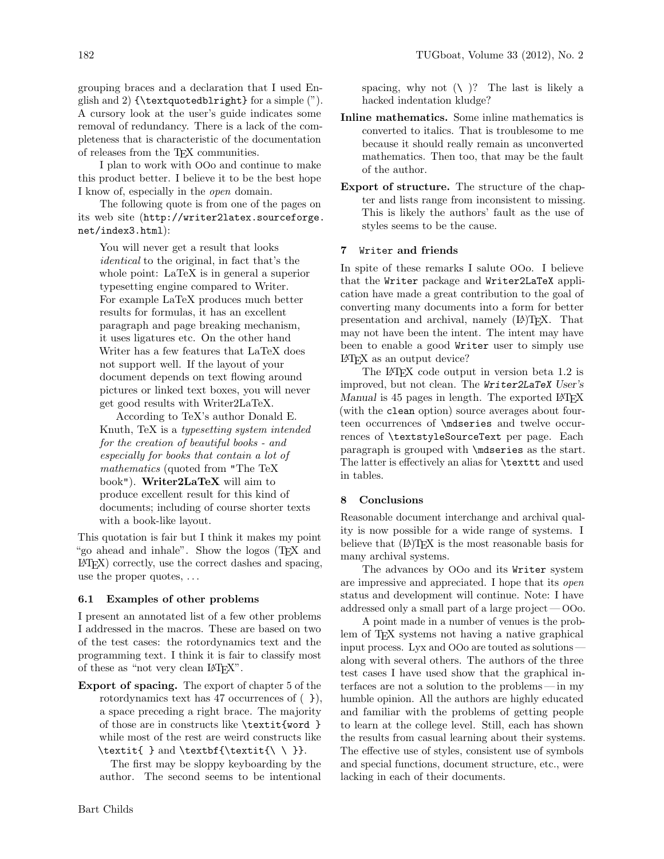grouping braces and a declaration that I used English and 2)  $\text{quotedblright}$  for a simple  $"$ . A cursory look at the user's guide indicates some removal of redundancy. There is a lack of the completeness that is characteristic of the documentation of releases from the TEX communities.

I plan to work with OOo and continue to make this product better. I believe it to be the best hope I know of, especially in the open domain.

The following quote is from one of the pages on its web site ([http://writer2latex.sourceforge.](http://writer2latex.sourceforge.net/index3.html) [net/index3.html](http://writer2latex.sourceforge.net/index3.html)):

You will never get a result that looks identical to the original, in fact that's the whole point: LaTeX is in general a superior typesetting engine compared to Writer. For example LaTeX produces much better results for formulas, it has an excellent paragraph and page breaking mechanism, it uses ligatures etc. On the other hand Writer has a few features that LaTeX does not support well. If the layout of your document depends on text flowing around pictures or linked text boxes, you will never get good results with Writer2LaTeX.

According to TeX's author Donald E. Knuth, TeX is a typesetting system intended for the creation of beautiful books - and especially for books that contain a lot of mathematics (quoted from "The TeX book"). Writer2LaTeX will aim to produce excellent result for this kind of documents; including of course shorter texts with a book-like layout.

This quotation is fair but I think it makes my point "go ahead and inhale". Show the logos (TEX and LATEX) correctly, use the correct dashes and spacing, use the proper quotes, . . .

## 6.1 Examples of other problems

I present an annotated list of a few other problems I addressed in the macros. These are based on two of the test cases: the rotordynamics text and the programming text. I think it is fair to classify most of these as "not very clean LATEX".

Export of spacing. The export of chapter 5 of the rotordynamics text has 47 occurrences of ( }), a space preceding a right brace. The majority of those are in constructs like \textit{word } while most of the rest are weird constructs like \textit{ } and \textbf{\textit{\ \ }}.

The first may be sloppy keyboarding by the author. The second seems to be intentional spacing, why not  $(\nabla)^?$  The last is likely a hacked indentation kludge?

- Inline mathematics. Some inline mathematics is converted to italics. That is troublesome to me because it should really remain as unconverted mathematics. Then too, that may be the fault of the author.
- Export of structure. The structure of the chapter and lists range from inconsistent to missing. This is likely the authors' fault as the use of styles seems to be the cause.

# 7 Writer and friends

In spite of these remarks I salute OOo. I believe that the Writer package and Writer2LaTeX application have made a great contribution to the goal of converting many documents into a form for better presentation and archival, namely (LA)TEX. That may not have been the intent. The intent may have been to enable a good Writer user to simply use LATEX as an output device?

The LATEX code output in version beta 1.2 is improved, but not clean. The Writer2LaTeX User's Manual is 45 pages in length. The exported LAT<sub>EX</sub> (with the clean option) source averages about fourteen occurrences of \mdseries and twelve occurrences of \textstyleSourceText per page. Each paragraph is grouped with \mdseries as the start. The latter is effectively an alias for \texttt and used in tables.

# 8 Conclusions

Reasonable document interchange and archival quality is now possible for a wide range of systems. I believe that  $(L)$ T<sub>F</sub>X is the most reasonable basis for many archival systems.

The advances by OOo and its Writer system are impressive and appreciated. I hope that its open status and development will continue. Note: I have addressed only a small part of a large project — OOo.

A point made in a number of venues is the problem of T<sub>F</sub>X systems not having a native graphical input process. Lyx and OOo are touted as solutions along with several others. The authors of the three test cases I have used show that the graphical interfaces are not a solution to the problems— in my humble opinion. All the authors are highly educated and familiar with the problems of getting people to learn at the college level. Still, each has shown the results from casual learning about their systems. The effective use of styles, consistent use of symbols and special functions, document structure, etc., were lacking in each of their documents.